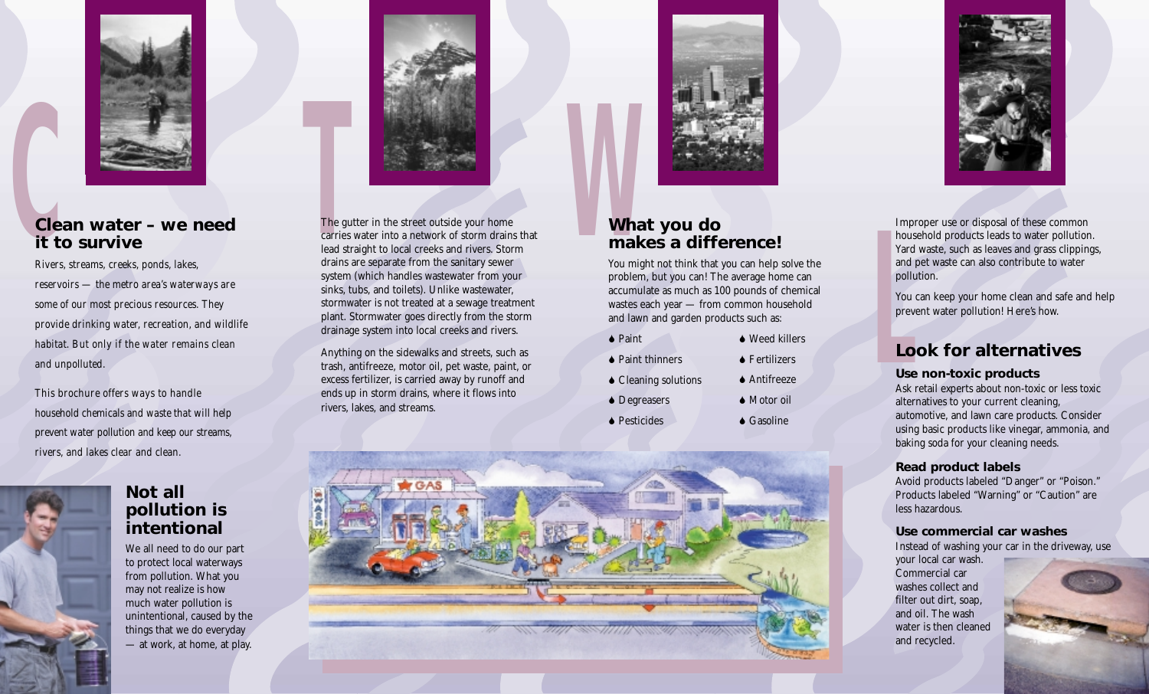

## **Clean water – we need**<br> **Clean water – we need**<br> **Clean water – we need**<br> **Clean water – we need**<br> **CLEAN WARE ALL CONSERVING CALC TO A POINT CALC TO A POINT CALC TO A POINT CALC TO A POINT CALC TO A POINT CALC TO A POINT Clean water – we need it to survive**

*Rivers, streams, creeks, ponds, lakes, reservoirs — the metro area's waterways are some of our most precious resources. They provide drinking water, recreation, and wildlife habitat. But only if the water remains clean and unpolluted.* 

*This brochure offers ways to handle household chemicals and waste that will help prevent water pollution and keep our streams, rivers, and lakes clear and clean.*





We all need to do our part to protect local waterways from pollution. What you may not realize is how much water pollution is unintentional, caused by the things that we do everyday — at work, at home, at play.



The gutter in the street outside your home carries water into a network of storm drains that lead straight to local creeks and rivers. Storm drains are separate from the sanitary sewer system (which handles wastewater from your sinks, tubs, and toilets). Unlike wastewater, stormwater is not treated at a sewage treatment plant. Stormwater goes directly from the storm drainage system into local creeks and rivers.

Anything on the sidewalks and streets, such as trash, antifreeze, motor oil, pet waste, paint, or excess fertilizer, is carried away by runoff and ends up in storm drains, where it flows into rivers, lakes, and streams.



## **What you do makes a difference!**

You might not think that you can help solve the problem, but you can! The average home can accumulate as much as 100 pounds of chemical wastes each year — from common household and lawn and garden products such as:

| $\bullet$ Paint                | $\blacklozenge$ Weed killers |
|--------------------------------|------------------------------|
| $\blacklozenge$ Paint thinners | $\blacklozenge$ Fertilizers  |
| $\triangle$ Cleaning solutions | $\blacklozenge$ Antifreeze   |
| $\bullet$ Degreasers           | $\blacklozenge$ Motor oil    |
| $\blacklozenge$ Pesticides     | $\triangle$ Gasoline         |





Improper use or disposal of these common household products leads to water pollution. Yard waste, such as leaves and grass clippings, and pet waste can also contribute to water pollution.

You can keep your home clean and safe and help prevent water pollution! Here's how.

## **LC**<br>LC<br>Use **Look for alternatives**

#### **Use non-toxic products**

Ask retail experts about non-toxic or less toxic alternatives to your current cleaning, automotive, and lawn care products. Consider using basic products like vinegar, ammonia, and baking soda for your cleaning needs.

#### **Read product labels**

Avoid products labeled "Danger" or "Poison." Products labeled "Warning" or "Caution" are less hazardous.

#### **Use commercial car washes**

Instead of washing your car in the driveway, use

your local car wash. Commercial car washes collect and filter out dirt, soap, and oil. The wash water is then cleaned and recycled.